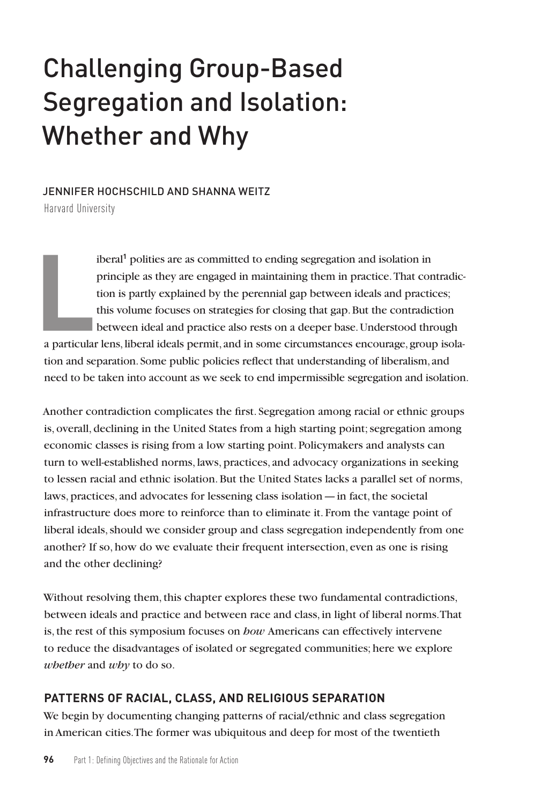# Challenging Group-Based Segregation and Isolation: Whether and Why

### JENNIFER HOCHSCHILD AND SHANNA WEITZ

Harvard University

iberal**<sup>1</sup>** polities are as committed to ending segregation and isolation in principle as they are engaged in maintaining them in practice. That contradiction is partly explained by the perennial gap between ideals and practices; this volume focuses on strategies for closing that gap. But the contradiction between ideal and practice also rests on a deeper base. Understood through

**L**<br>a particular a particular lens, liberal ideals permit, and in some circumstances encourage, group isolation and separation. Some public policies reflect that understanding of liberalism, and need to be taken into account as we seek to end impermissible segregation and isolation.

Another contradiction complicates the first. Segregation among racial or ethnic groups is, overall, declining in the United States from a high starting point; segregation among economic classes is rising from a low starting point. Policymakers and analysts can turn to well-established norms, laws, practices, and advocacy organizations in seeking to lessen racial and ethnic isolation. But the United States lacks a parallel set of norms, laws, practices, and advocates for lessening class isolation—in fact, the societal infrastructure does more to reinforce than to eliminate it. From the vantage point of liberal ideals, should we consider group and class segregation independently from one another? If so, how do we evaluate their frequent intersection, even as one is rising and the other declining?

Without resolving them, this chapter explores these two fundamental contradictions, between ideals and practice and between race and class, in light of liberal norms. That is, the rest of this symposium focuses on *how* Americans can effectively intervene to reduce the disadvantages of isolated or segregated communities; here we explore *whether* and *why* to do so.

# **PATTERNS OF RACIAL, CLASS, AND RELIGIOUS SEPARATION**

We begin by documenting changing patterns of racial/ethnic and class segregation in American cities. The former was ubiquitous and deep for most of the twentieth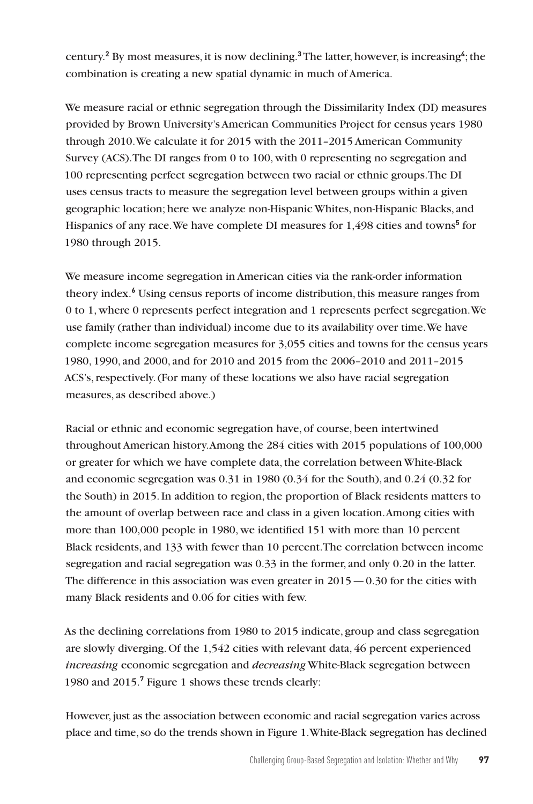century.**<sup>2</sup>** By most measures, it is now declining.**<sup>3</sup>** The latter, however, is increasing**<sup>4</sup>** ; the combination is creating a new spatial dynamic in much of America.

We measure racial or ethnic segregation through the Dissimilarity Index (DI) measures provided by Brown University's American Communities Project for census years 1980 through 2010. We calculate it for 2015 with the 2011–2015 American Community Survey (ACS). The DI ranges from 0 to 100, with 0 representing no segregation and 100 representing perfect segregation between two racial or ethnic groups. The DI uses census tracts to measure the segregation level between groups within a given geographic location; here we analyze non-Hispanic Whites, non-Hispanic Blacks, and Hispanics of any race. We have complete DI measures for 1,498 cities and towns**<sup>5</sup>** for 1980 through 2015.

We measure income segregation in American cities via the rank-order information theory index.**<sup>6</sup>** Using census reports of income distribution, this measure ranges from 0 to 1, where 0 represents perfect integration and 1 represents perfect segregation. We use family (rather than individual) income due to its availability over time. We have complete income segregation measures for 3,055 cities and towns for the census years 1980, 1990, and 2000, and for 2010 and 2015 from the 2006–2010 and 2011–2015 ACS's, respectively. (For many of these locations we also have racial segregation measures, as described above.)

Racial or ethnic and economic segregation have, of course, been intertwined throughout American history. Among the 284 cities with 2015 populations of 100,000 or greater for which we have complete data, the correlation between White-Black and economic segregation was 0.31 in 1980 (0.34 for the South), and 0.24 (0.32 for the South) in 2015. In addition to region, the proportion of Black residents matters to the amount of overlap between race and class in a given location. Among cities with more than 100,000 people in 1980, we identified 151 with more than 10 percent Black residents, and 133 with fewer than 10 percent. The correlation between income segregation and racial segregation was 0.33 in the former, and only 0.20 in the latter. The difference in this association was even greater in  $2015 - 0.30$  for the cities with many Black residents and 0.06 for cities with few.

As the declining correlations from 1980 to 2015 indicate, group and class segregation are slowly diverging. Of the 1,542 cities with relevant data, 46 percent experienced *increasing* economic segregation and *decreasing* White-Black segregation between 1980 and 2015.**<sup>7</sup>** Figure 1 shows these trends clearly:

However, just as the association between economic and racial segregation varies across place and time, so do the trends shown in Figure 1. White-Black segregation has declined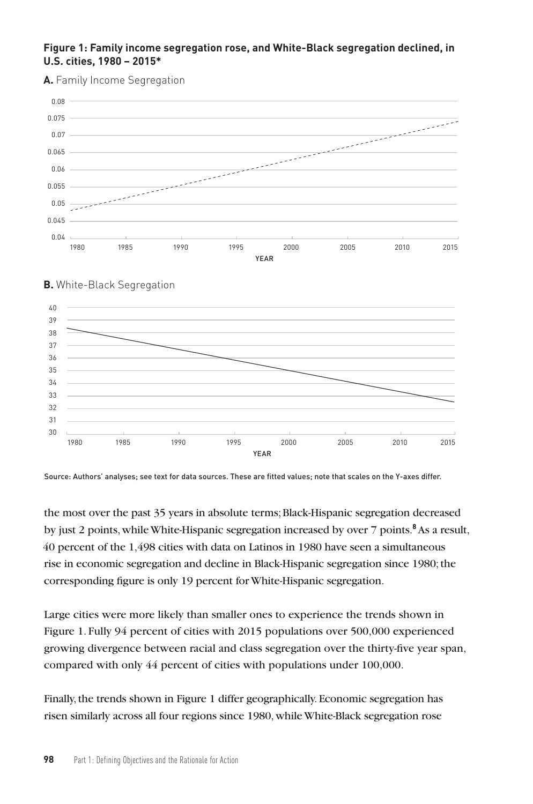### **Figure 1: Family income segregation rose, and White-Black segregation declined, in U.S. cities, 1980 – 2015\***

**A.** Family Income Segregation





# **B.** White-Black Segregation

Source: Authors' analyses; see text for data sources. These are fitted values; note that scales on the Y-axes differ.

the most over the past 35 years in absolute terms; Black-Hispanic segregation decreased by just 2 points, while White-Hispanic segregation increased by over 7 points.<sup>8</sup> As a result, 40 percent of the 1,498 cities with data on Latinos in 1980 have seen a simultaneous rise in economic segregation and decline in Black-Hispanic segregation since 1980; the corresponding figure is only 19 percent for White-Hispanic segregation.

Large cities were more likely than smaller ones to experience the trends shown in Figure 1. Fully 94 percent of cities with 2015 populations over 500,000 experienced growing divergence between racial and class segregation over the thirty-five year span, compared with only 44 percent of cities with populations under 100,000.

Finally, the trends shown in Figure 1 differ geographically. Economic segregation has risen similarly across all four regions since 1980, while White-Black segregation rose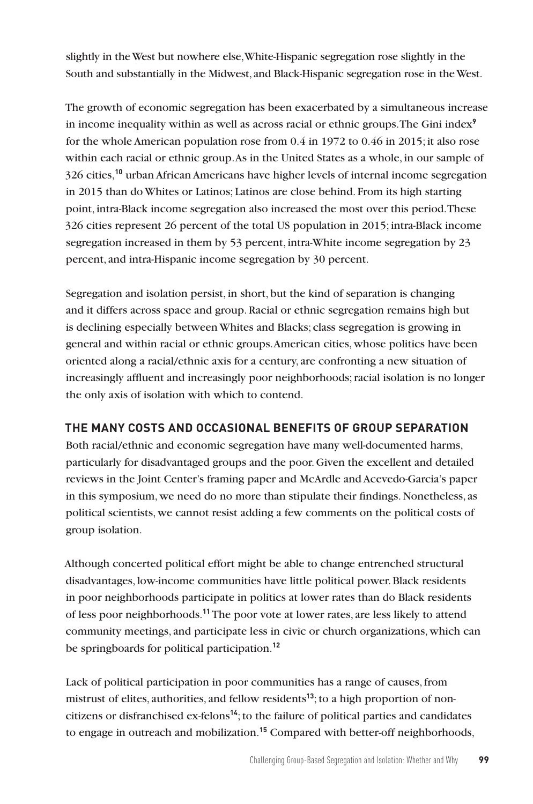slightly in the West but nowhere else, White-Hispanic segregation rose slightly in the South and substantially in the Midwest, and Black-Hispanic segregation rose in the West.

The growth of economic segregation has been exacerbated by a simultaneous increase in income inequality within as well as across racial or ethnic groups. The Gini index**<sup>9</sup>** for the whole American population rose from 0.4 in 1972 to 0.46 in 2015; it also rose within each racial or ethnic group. As in the United States as a whole, in our sample of 326 cities,**<sup>10</sup>** urban African Americans have higher levels of internal income segregation in 2015 than do Whites or Latinos; Latinos are close behind. From its high starting point, intra-Black income segregation also increased the most over this period. These 326 cities represent 26 percent of the total US population in 2015; intra-Black income segregation increased in them by 53 percent, intra-White income segregation by 23 percent, and intra-Hispanic income segregation by 30 percent.

Segregation and isolation persist, in short, but the kind of separation is changing and it differs across space and group. Racial or ethnic segregation remains high but is declining especially between Whites and Blacks; class segregation is growing in general and within racial or ethnic groups. American cities, whose politics have been oriented along a racial/ethnic axis for a century, are confronting a new situation of increasingly affluent and increasingly poor neighborhoods; racial isolation is no longer the only axis of isolation with which to contend.

## **THE MANY COSTS AND OCCASIONAL BENEFITS OF GROUP SEPARATION**

Both racial/ethnic and economic segregation have many well-documented harms, particularly for disadvantaged groups and the poor. Given the excellent and detailed reviews in the Joint Center's framing paper and McArdle and Acevedo-Garcia's paper in this symposium, we need do no more than stipulate their findings. Nonetheless, as political scientists, we cannot resist adding a few comments on the political costs of group isolation.

Although concerted political effort might be able to change entrenched structural disadvantages, low-income communities have little political power. Black residents in poor neighborhoods participate in politics at lower rates than do Black residents of less poor neighborhoods.**<sup>11</sup>** The poor vote at lower rates, are less likely to attend community meetings, and participate less in civic or church organizations, which can be springboards for political participation.**<sup>12</sup>**

Lack of political participation in poor communities has a range of causes, from mistrust of elites, authorities, and fellow residents**13**; to a high proportion of noncitizens or disfranchised ex-felons**<sup>14</sup>**; to the failure of political parties and candidates to engage in outreach and mobilization.**15** Compared with better-off neighborhoods,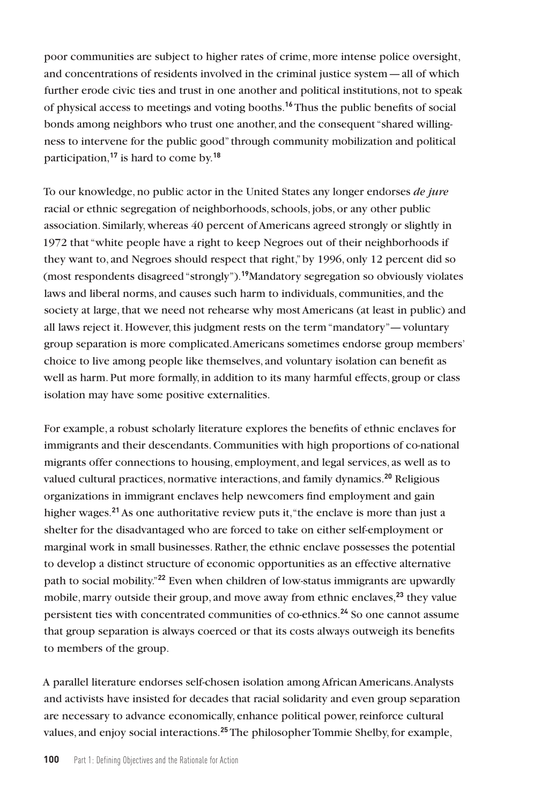poor communities are subject to higher rates of crime, more intense police oversight, and concentrations of residents involved in the criminal justice system—all of which further erode civic ties and trust in one another and political institutions, not to speak of physical access to meetings and voting booths.**<sup>16</sup>** Thus the public benefits of social bonds among neighbors who trust one another, and the consequent "shared willingness to intervene for the public good" through community mobilization and political participation,**<sup>17</sup>** is hard to come by.**<sup>18</sup>**

To our knowledge, no public actor in the United States any longer endorses *de jure* racial or ethnic segregation of neighborhoods, schools, jobs, or any other public association. Similarly, whereas 40 percent of Americans agreed strongly or slightly in 1972 that "white people have a right to keep Negroes out of their neighborhoods if they want to, and Negroes should respect that right," by 1996, only 12 percent did so (most respondents disagreed "strongly").**<sup>19</sup>**Mandatory segregation so obviously violates laws and liberal norms, and causes such harm to individuals, communities, and the society at large, that we need not rehearse why most Americans (at least in public) and all laws reject it. However, this judgment rests on the term "mandatory"—voluntary group separation is more complicated. Americans sometimes endorse group members' choice to live among people like themselves, and voluntary isolation can benefit as well as harm. Put more formally, in addition to its many harmful effects, group or class isolation may have some positive externalities.

For example, a robust scholarly literature explores the benefits of ethnic enclaves for immigrants and their descendants. Communities with high proportions of co-national migrants offer connections to housing, employment, and legal services, as well as to valued cultural practices, normative interactions, and family dynamics.**<sup>20</sup>** Religious organizations in immigrant enclaves help newcomers find employment and gain higher wages.**<sup>21</sup>** As one authoritative review puts it, "the enclave is more than just a shelter for the disadvantaged who are forced to take on either self-employment or marginal work in small businesses. Rather, the ethnic enclave possesses the potential to develop a distinct structure of economic opportunities as an effective alternative path to social mobility."**<sup>22</sup>** Even when children of low-status immigrants are upwardly mobile, marry outside their group, and move away from ethnic enclaves,**<sup>23</sup>** they value persistent ties with concentrated communities of co-ethnics.**<sup>24</sup>** So one cannot assume that group separation is always coerced or that its costs always outweigh its benefits to members of the group.

A parallel literature endorses self-chosen isolation among African Americans. Analysts and activists have insisted for decades that racial solidarity and even group separation are necessary to advance economically, enhance political power, reinforce cultural values, and enjoy social interactions.**25** The philosopher Tommie Shelby, for example,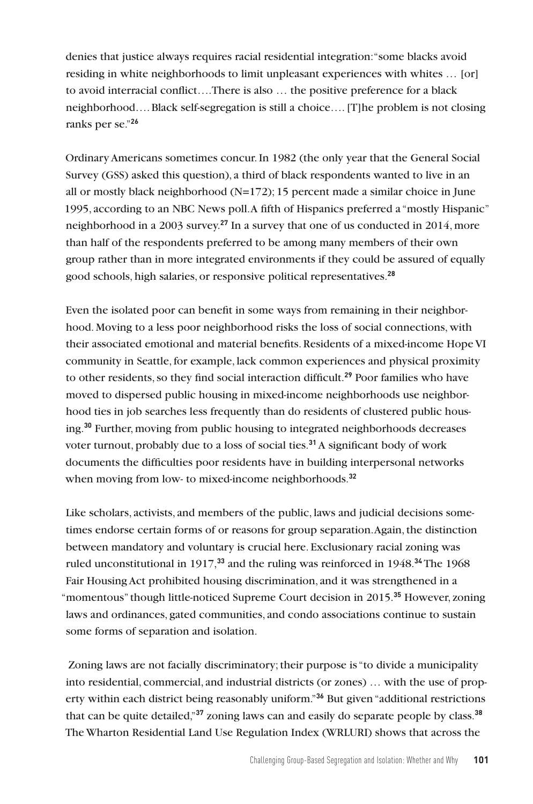denies that justice always requires racial residential integration: "some blacks avoid residing in white neighborhoods to limit unpleasant experiences with whites … [or] to avoid interracial conflict….There is also … the positive preference for a black neighborhood…. Black self-segregation is still a choice…. [T]he problem is not closing ranks per se."**<sup>26</sup>**

Ordinary Americans sometimes concur. In 1982 (the only year that the General Social Survey (GSS) asked this question), a third of black respondents wanted to live in an all or mostly black neighborhood  $(N=172)$ ; 15 percent made a similar choice in June 1995, according to an NBC News poll. A fifth of Hispanics preferred a "mostly Hispanic" neighborhood in a 2003 survey.**<sup>27</sup>** In a survey that one of us conducted in 2014, more than half of the respondents preferred to be among many members of their own group rather than in more integrated environments if they could be assured of equally good schools, high salaries, or responsive political representatives.**<sup>28</sup>**

Even the isolated poor can benefit in some ways from remaining in their neighborhood. Moving to a less poor neighborhood risks the loss of social connections, with their associated emotional and material benefits. Residents of a mixed-income Hope VI community in Seattle, for example, lack common experiences and physical proximity to other residents, so they find social interaction difficult.**<sup>29</sup>** Poor families who have moved to dispersed public housing in mixed-income neighborhoods use neighborhood ties in job searches less frequently than do residents of clustered public housing.**<sup>30</sup>** Further, moving from public housing to integrated neighborhoods decreases voter turnout, probably due to a loss of social ties.**<sup>31</sup>** A significant body of work documents the difficulties poor residents have in building interpersonal networks when moving from low- to mixed-income neighborhoods.**<sup>32</sup>**

Like scholars, activists, and members of the public, laws and judicial decisions sometimes endorse certain forms of or reasons for group separation. Again, the distinction between mandatory and voluntary is crucial here. Exclusionary racial zoning was ruled unconstitutional in 1917,**<sup>33</sup>** and the ruling was reinforced in 1948.**<sup>34</sup>** The 1968 Fair Housing Act prohibited housing discrimination, and it was strengthened in a "momentous" though little-noticed Supreme Court decision in 2015.**<sup>35</sup>** However, zoning laws and ordinances, gated communities, and condo associations continue to sustain some forms of separation and isolation.

 Zoning laws are not facially discriminatory; their purpose is "to divide a municipality into residential, commercial, and industrial districts (or zones) … with the use of property within each district being reasonably uniform."**<sup>36</sup>** But given "additional restrictions that can be quite detailed,"**<sup>37</sup>** zoning laws can and easily do separate people by class.**<sup>38</sup>** The Wharton Residential Land Use Regulation Index (WRLURI) shows that across the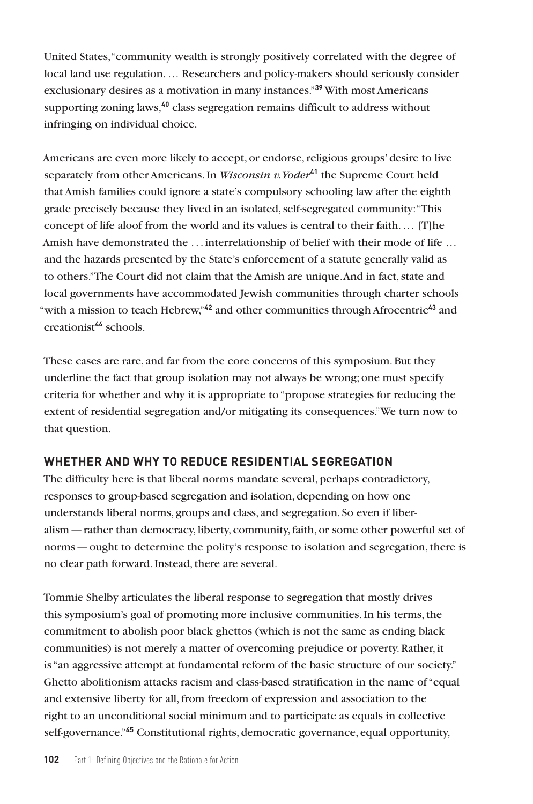United States, "community wealth is strongly positively correlated with the degree of local land use regulation. … Researchers and policy-makers should seriously consider exclusionary desires as a motivation in many instances."**<sup>39</sup>** With most Americans supporting zoning laws,**<sup>40</sup>** class segregation remains difficult to address without infringing on individual choice.

Americans are even more likely to accept, or endorse, religious groups' desire to live separately from other Americans. In *Wisconsin v. Yoder***<sup>41</sup>** the Supreme Court held that Amish families could ignore a state's compulsory schooling law after the eighth grade precisely because they lived in an isolated, self-segregated community: "This concept of life aloof from the world and its values is central to their faith. … [T]he Amish have demonstrated the . . . interrelationship of belief with their mode of life … and the hazards presented by the State's enforcement of a statute generally valid as to others." The Court did not claim that the Amish are unique. And in fact, state and local governments have accommodated Jewish communities through charter schools "with a mission to teach Hebrew,"**<sup>42</sup>** and other communities through Afrocentric**<sup>43</sup>** and creationist**<sup>44</sup>** schools.

These cases are rare, and far from the core concerns of this symposium. But they underline the fact that group isolation may not always be wrong; one must specify criteria for whether and why it is appropriate to "propose strategies for reducing the extent of residential segregation and/or mitigating its consequences." We turn now to that question.

## **WHETHER AND WHY TO REDUCE RESIDENTIAL SEGREGATION**

The difficulty here is that liberal norms mandate several, perhaps contradictory, responses to group-based segregation and isolation, depending on how one understands liberal norms, groups and class, and segregation. So even if liberalism—rather than democracy, liberty, community, faith, or some other powerful set of norms—ought to determine the polity's response to isolation and segregation, there is no clear path forward. Instead, there are several.

Tommie Shelby articulates the liberal response to segregation that mostly drives this symposium's goal of promoting more inclusive communities. In his terms, the commitment to abolish poor black ghettos (which is not the same as ending black communities) is not merely a matter of overcoming prejudice or poverty. Rather, it is "an aggressive attempt at fundamental reform of the basic structure of our society." Ghetto abolitionism attacks racism and class-based stratification in the name of "equal and extensive liberty for all, from freedom of expression and association to the right to an unconditional social minimum and to participate as equals in collective self-governance."**45** Constitutional rights, democratic governance, equal opportunity,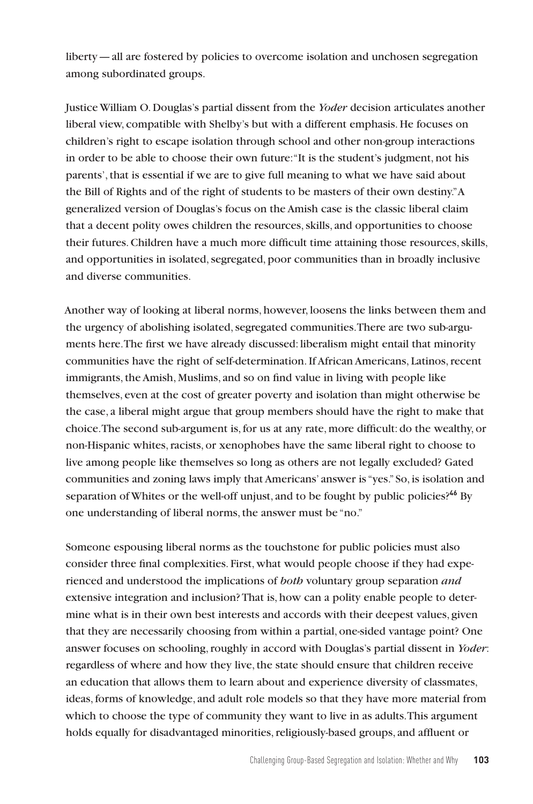liberty—all are fostered by policies to overcome isolation and unchosen segregation among subordinated groups.

Justice William O. Douglas's partial dissent from the *Yoder* decision articulates another liberal view, compatible with Shelby's but with a different emphasis. He focuses on children's right to escape isolation through school and other non-group interactions in order to be able to choose their own future: "It is the student's judgment, not his parents', that is essential if we are to give full meaning to what we have said about the Bill of Rights and of the right of students to be masters of their own destiny." A generalized version of Douglas's focus on the Amish case is the classic liberal claim that a decent polity owes children the resources, skills, and opportunities to choose their futures. Children have a much more difficult time attaining those resources, skills, and opportunities in isolated, segregated, poor communities than in broadly inclusive and diverse communities.

Another way of looking at liberal norms, however, loosens the links between them and the urgency of abolishing isolated, segregated communities. There are two sub-arguments here. The first we have already discussed: liberalism might entail that minority communities have the right of self-determination. If African Americans, Latinos, recent immigrants, the Amish, Muslims, and so on find value in living with people like themselves, even at the cost of greater poverty and isolation than might otherwise be the case, a liberal might argue that group members should have the right to make that choice. The second sub-argument is, for us at any rate, more difficult: do the wealthy, or non-Hispanic whites, racists, or xenophobes have the same liberal right to choose to live among people like themselves so long as others are not legally excluded? Gated communities and zoning laws imply that Americans' answer is "yes." So, is isolation and separation of Whites or the well-off unjust, and to be fought by public policies?**<sup>46</sup>** By one understanding of liberal norms, the answer must be "no."

Someone espousing liberal norms as the touchstone for public policies must also consider three final complexities. First, what would people choose if they had experienced and understood the implications of *both* voluntary group separation *and*  extensive integration and inclusion? That is, how can a polity enable people to determine what is in their own best interests and accords with their deepest values, given that they are necessarily choosing from within a partial, one-sided vantage point? One answer focuses on schooling, roughly in accord with Douglas's partial dissent in *Yoder*: regardless of where and how they live, the state should ensure that children receive an education that allows them to learn about and experience diversity of classmates, ideas, forms of knowledge, and adult role models so that they have more material from which to choose the type of community they want to live in as adults. This argument holds equally for disadvantaged minorities, religiously-based groups, and affluent or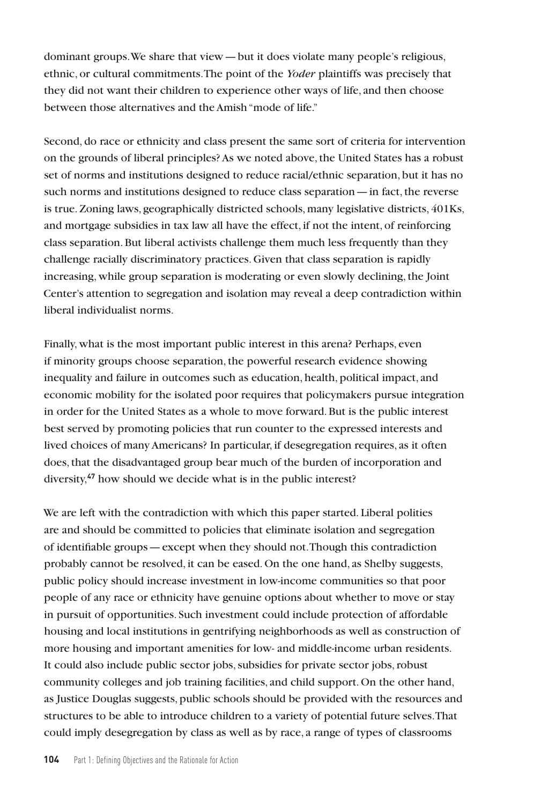dominant groups. We share that view—but it does violate many people's religious, ethnic, or cultural commitments. The point of the *Yoder* plaintiffs was precisely that they did not want their children to experience other ways of life, and then choose between those alternatives and the Amish "mode of life."

Second, do race or ethnicity and class present the same sort of criteria for intervention on the grounds of liberal principles? As we noted above, the United States has a robust set of norms and institutions designed to reduce racial/ethnic separation, but it has no such norms and institutions designed to reduce class separation—in fact, the reverse is true. Zoning laws, geographically districted schools, many legislative districts, 401Ks, and mortgage subsidies in tax law all have the effect, if not the intent, of reinforcing class separation. But liberal activists challenge them much less frequently than they challenge racially discriminatory practices. Given that class separation is rapidly increasing, while group separation is moderating or even slowly declining, the Joint Center's attention to segregation and isolation may reveal a deep contradiction within liberal individualist norms.

Finally, what is the most important public interest in this arena? Perhaps, even if minority groups choose separation, the powerful research evidence showing inequality and failure in outcomes such as education, health, political impact, and economic mobility for the isolated poor requires that policymakers pursue integration in order for the United States as a whole to move forward. But is the public interest best served by promoting policies that run counter to the expressed interests and lived choices of many Americans? In particular, if desegregation requires, as it often does, that the disadvantaged group bear much of the burden of incorporation and diversity,**<sup>47</sup>** how should we decide what is in the public interest?

We are left with the contradiction with which this paper started. Liberal polities are and should be committed to policies that eliminate isolation and segregation of identifiable groups—except when they should not. Though this contradiction probably cannot be resolved, it can be eased. On the one hand, as Shelby suggests, public policy should increase investment in low-income communities so that poor people of any race or ethnicity have genuine options about whether to move or stay in pursuit of opportunities. Such investment could include protection of affordable housing and local institutions in gentrifying neighborhoods as well as construction of more housing and important amenities for low- and middle-income urban residents. It could also include public sector jobs, subsidies for private sector jobs, robust community colleges and job training facilities, and child support. On the other hand, as Justice Douglas suggests, public schools should be provided with the resources and structures to be able to introduce children to a variety of potential future selves. That could imply desegregation by class as well as by race, a range of types of classrooms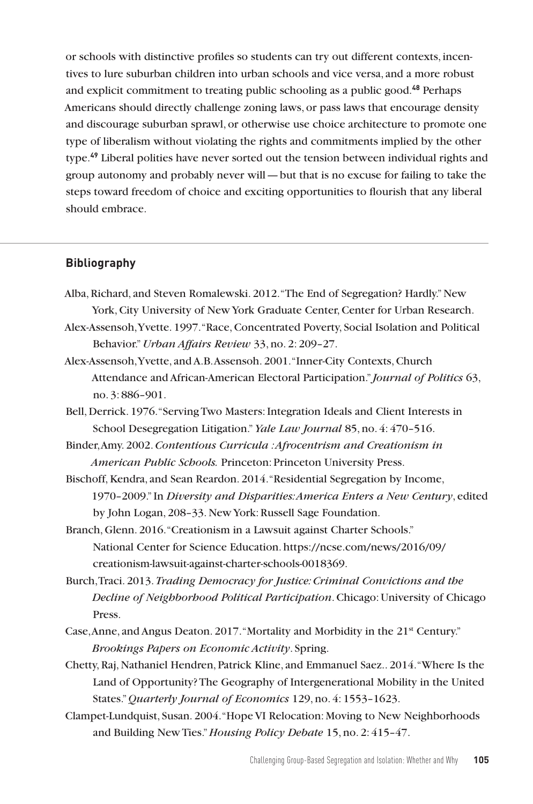or schools with distinctive profiles so students can try out different contexts, incentives to lure suburban children into urban schools and vice versa, and a more robust and explicit commitment to treating public schooling as a public good.**<sup>48</sup>** Perhaps Americans should directly challenge zoning laws, or pass laws that encourage density and discourage suburban sprawl, or otherwise use choice architecture to promote one type of liberalism without violating the rights and commitments implied by the other type.**<sup>49</sup>** Liberal polities have never sorted out the tension between individual rights and group autonomy and probably never will—but that is no excuse for failing to take the steps toward freedom of choice and exciting opportunities to flourish that any liberal should embrace.

### **Bibliography**

- Alba, Richard, and Steven Romalewski. 2012. "The End of Segregation? Hardly." New York, City University of New York Graduate Center, Center for Urban Research.
- Alex-Assensoh, Yvette. 1997. "Race, Concentrated Poverty, Social Isolation and Political Behavior." *Urban Affairs Review* 33, no. 2: 209–27.
- Alex-Assensoh, Yvette, and A.B. Assensoh. 2001. "Inner-City Contexts, Church Attendance and African-American Electoral Participation." *Journal of Politics* 63, no. 3: 886–901.
- Bell, Derrick. 1976. "Serving Two Masters: Integration Ideals and Client Interests in School Desegregation Litigation." *Yale Law Journal* 85, no. 4: 470–516.

Binder, Amy. 2002. *Contentious Curricula : Afrocentrism and Creationism in American Public Schools.* Princeton: Princeton University Press.

- Bischoff, Kendra, and Sean Reardon. 2014. "Residential Segregation by Income, 1970–2009." In *Diversity and Disparities: America Enters a New Century*, edited by John Logan, 208–33. New York: Russell Sage Foundation.
- Branch, Glenn. 2016. "Creationism in a Lawsuit against Charter Schools." National Center for Science Education. https://ncse.com/news/2016/09/ creationism-lawsuit-against-charter-schools-0018369.
- Burch, Traci. 2013. *Trading Democracy for Justice: Criminal Convictions and the Decline of Neighborhood Political Participation*. Chicago: University of Chicago Press.
- Case, Anne, and Angus Deaton. 2017. "Mortality and Morbidity in the 21st Century." *Brookings Papers on Economic Activity*. Spring.
- Chetty, Raj, Nathaniel Hendren, Patrick Kline, and Emmanuel Saez.. 2014. "Where Is the Land of Opportunity? The Geography of Intergenerational Mobility in the United States." *Quarterly Journal of Economics* 129, no. 4: 1553–1623.
- Clampet-Lundquist, Susan. 2004. "Hope VI Relocation: Moving to New Neighborhoods and Building New Ties." *Housing Policy Debate* 15, no. 2: 415–47.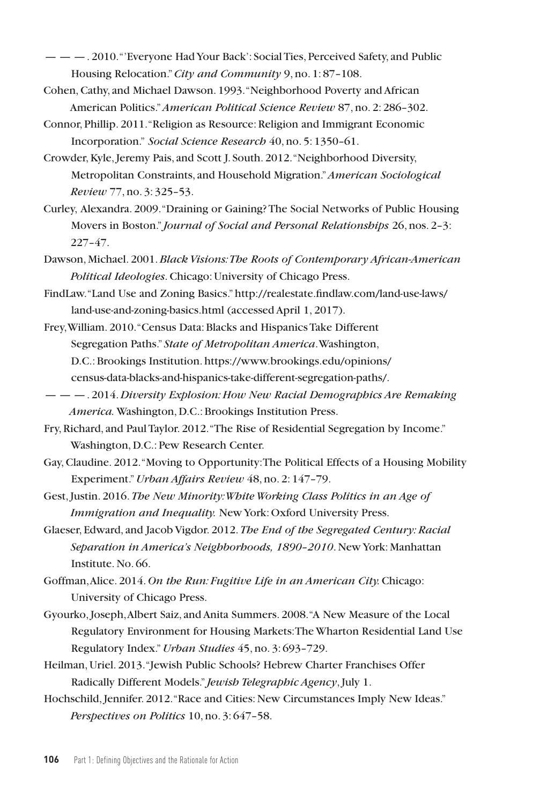— — —. 2010. "'Everyone Had Your Back': Social Ties, Perceived Safety, and Public Housing Relocation." *City and Community* 9, no. 1: 87–108.

Cohen, Cathy, and Michael Dawson. 1993. "Neighborhood Poverty and African American Politics." *American Political Science Review* 87, no. 2: 286–302.

Connor, Phillip. 2011. "Religion as Resource: Religion and Immigrant Economic Incorporation." *Social Science Research* 40, no. 5: 1350–61.

- Crowder, Kyle, Jeremy Pais, and Scott J. South. 2012. "Neighborhood Diversity, Metropolitan Constraints, and Household Migration." *American Sociological Review* 77, no. 3: 325–53.
- Curley, Alexandra. 2009. "Draining or Gaining? The Social Networks of Public Housing Movers in Boston." *Journal of Social and Personal Relationships* 26, nos. 2–3: 227–47.
- Dawson, Michael. 2001. *Black Visions: The Roots of Contemporary African-American Political Ideologies*. Chicago: University of Chicago Press.
- FindLaw. "Land Use and Zoning Basics." http://realestate.findlaw.com/land-use-laws/ land-use-and-zoning-basics.html (accessed April 1, 2017).
- Frey, William. 2010. "Census Data: Blacks and Hispanics Take Different Segregation Paths." *State of Metropolitan America*. Washington, D.C.: Brookings Institution. https://www.brookings.edu/opinions/ census-data-blacks-and-hispanics-take-different-segregation-paths/.
- — —. 2014. *Diversity Explosion: How New Racial Demographics Are Remaking America.* Washington, D.C.: Brookings Institution Press.
- Fry, Richard, and Paul Taylor. 2012. "The Rise of Residential Segregation by Income." Washington, D.C.: Pew Research Center.
- Gay, Claudine. 2012. "Moving to Opportunity: The Political Effects of a Housing Mobility Experiment." *Urban Affairs Review* 48, no. 2: 147–79.
- Gest, Justin. 2016. *The New Minority: White Working Class Politics in an Age of Immigration and Inequality.* New York: Oxford University Press.
- Glaeser, Edward, and Jacob Vigdor. 2012. *The End of the Segregated Century: Racial Separation in America's Neighborhoods, 1890–2010*. New York: Manhattan Institute. No. 66.
- Goffman, Alice. 2014. *On the Run: Fugitive Life in an American City.* Chicago: University of Chicago Press.
- Gyourko, Joseph, Albert Saiz, and Anita Summers. 2008. "A New Measure of the Local Regulatory Environment for Housing Markets: The Wharton Residential Land Use Regulatory Index." *Urban Studies* 45, no. 3: 693–729.
- Heilman, Uriel. 2013. "Jewish Public Schools? Hebrew Charter Franchises Offer Radically Different Models." *Jewish Telegraphic Agency*, July 1.
- Hochschild, Jennifer. 2012. "Race and Cities: New Circumstances Imply New Ideas." *Perspectives on Politics* 10, no. 3: 647–58.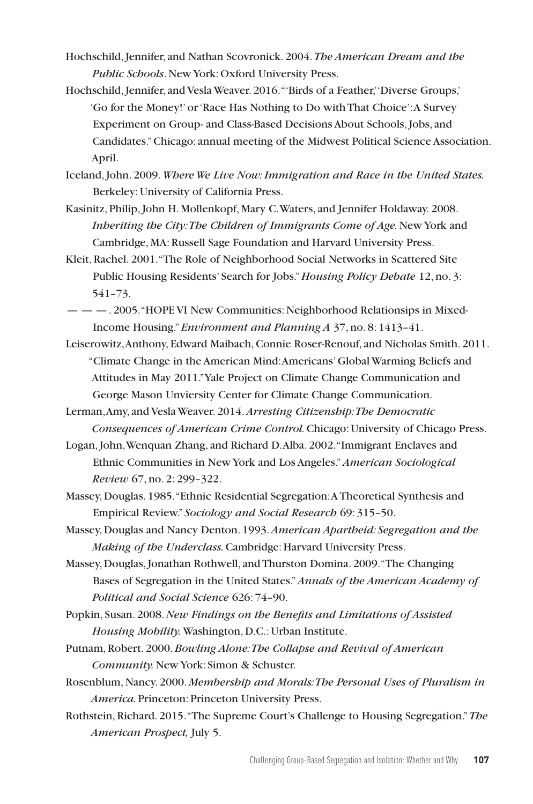- Hochschild, Jennifer, and Nathan Scovronick. 2004. *The American Dream and the Public Schools*. New York: Oxford University Press.
- Hochschild, Jennifer, and Vesla Weaver. 2016. "'Birds of a Feather,' 'Diverse Groups,' 'Go for the Money!' or 'Race Has Nothing to Do with That Choice': A Survey Experiment on Group- and Class-Based Decisions About Schools, Jobs, and Candidates." Chicago: annual meeting of the Midwest Political Science Association. April.
- Iceland, John. 2009. *Where We Live Now: Immigration and Race in the United States.*  Berkeley: University of California Press.
- Kasinitz, Philip, John H. Mollenkopf, Mary C. Waters, and Jennifer Holdaway. 2008. *Inheriting the City: The Children of Immigrants Come of Age.* New York and Cambridge, MA: Russell Sage Foundation and Harvard University Press.
- Kleit, Rachel. 2001. "The Role of Neighborhood Social Networks in Scattered Site Public Housing Residents' Search for Jobs." *Housing Policy Debate* 12, no. 3: 541–73.
- — —. 2005. "HOPE VI New Communities: Neighborhood Relationsips in Mixed-Income Housing." *Environment and Planning A* 37, no. 8: 1413–41.
- Leiserowitz, Anthony, Edward Maibach, Connie Roser-Renouf, and Nicholas Smith. 2011. "Climate Change in the American Mind: Americans' Global Warming Beliefs and Attitudes in May 2011." Yale Project on Climate Change Communication and George Mason Unviersity Center for Climate Change Communication.
- Lerman, Amy, and Vesla Weaver. 2014. *Arresting Citizenship: The Democratic Consequences of American Crime Control.* Chicago: University of Chicago Press.
- Logan, John, Wenquan Zhang, and Richard D. Alba. 2002. "Immigrant Enclaves and Ethnic Communities in New York and Los Angeles." *American Sociological Review* 67, no. 2: 299–322.
- Massey, Douglas. 1985. "Ethnic Residential Segregation: A Theoretical Synthesis and Empirical Review." *Sociology and Social Research* 69: 315–50.
- Massey, Douglas and Nancy Denton. 1993. *American Apartheid: Segregation and the Making of the Underclass.* Cambridge: Harvard University Press.
- Massey, Douglas, Jonathan Rothwell, and Thurston Domina. 2009. "The Changing Bases of Segregation in the United States." *Annals of the American Academy of Political and Social Science* 626: 74–90.
- Popkin, Susan. 2008. *New Findings on the Benefits and Limitations of Assisted Housing Mobility.* Washington, D.C.: Urban Institute.
- Putnam, Robert. 2000. *Bowling Alone: The Collapse and Revival of American Community.* New York: Simon & Schuster.
- Rosenblum, Nancy. 2000. *Membership and Morals: The Personal Uses of Pluralism in America.* Princeton: Princeton University Press.
- Rothstein, Richard. 2015. "The Supreme Court's Challenge to Housing Segregation." *The American Prospect,* July 5.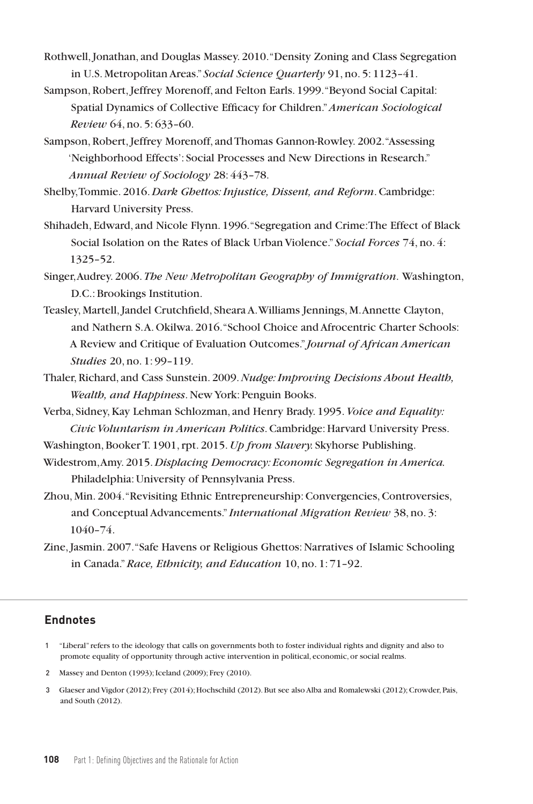- Rothwell, Jonathan, and Douglas Massey. 2010. "Density Zoning and Class Segregation in U.S. Metropolitan Areas." *Social Science Quarterly* 91, no. 5: 1123–41.
- Sampson, Robert, Jeffrey Morenoff, and Felton Earls. 1999. "Beyond Social Capital: Spatial Dynamics of Collective Efficacy for Children." *American Sociological Review* 64, no. 5: 633–60.
- Sampson, Robert, Jeffrey Morenoff, and Thomas Gannon-Rowley. 2002. "Assessing 'Neighborhood Effects': Social Processes and New Directions in Research." *Annual Review of Sociology* 28: 443–78.
- Shelby, Tommie. 2016. *Dark Ghettos: Injustice, Dissent, and Reform*. Cambridge: Harvard University Press.
- Shihadeh, Edward, and Nicole Flynn. 1996. "Segregation and Crime: The Effect of Black Social Isolation on the Rates of Black Urban Violence." *Social Forces* 74, no. 4: 1325–52.
- Singer, Audrey. 2006. *The New Metropolitan Geography of Immigration*. Washington, D.C.: Brookings Institution.
- Teasley, Martell, Jandel Crutchfield, Sheara A. Williams Jennings, M. Annette Clayton, and Nathern S. A. Okilwa. 2016. "School Choice and Afrocentric Charter Schools: A Review and Critique of Evaluation Outcomes." *Journal of African American Studies* 20, no. 1: 99–119.
- Thaler, Richard, and Cass Sunstein. 2009. *Nudge: Improving Decisions About Health, Wealth, and Happiness*. New York: Penguin Books.
- Verba, Sidney, Kay Lehman Schlozman, and Henry Brady. 1995. *Voice and Equality: Civic Voluntarism in American Politics*. Cambridge: Harvard University Press.
- Washington, Booker T. 1901, rpt. 2015. *Up from Slavery.* Skyhorse Publishing.
- Widestrom, Amy. 2015. *Displacing Democracy: Economic Segregation in America.*  Philadelphia: University of Pennsylvania Press.
- Zhou, Min. 2004. "Revisiting Ethnic Entrepreneurship: Convergencies, Controversies, and Conceptual Advancements." *International Migration Review* 38, no. 3: 1040–74.
- Zine, Jasmin. 2007. "Safe Havens or Religious Ghettos: Narratives of Islamic Schooling in Canada." *Race, Ethnicity, and Education* 10, no. 1: 71–92.

## **Endnotes**

- 1 "Liberal" refers to the ideology that calls on governments both to foster individual rights and dignity and also to promote equality of opportunity through active intervention in political, economic, or social realms.
- 2 Massey and Denton (1993); Iceland (2009); Frey (2010).
- 3 Glaeser and Vigdor (2012); Frey (2014); Hochschild (2012). But see also Alba and Romalewski (2012); Crowder, Pais, and South (2012).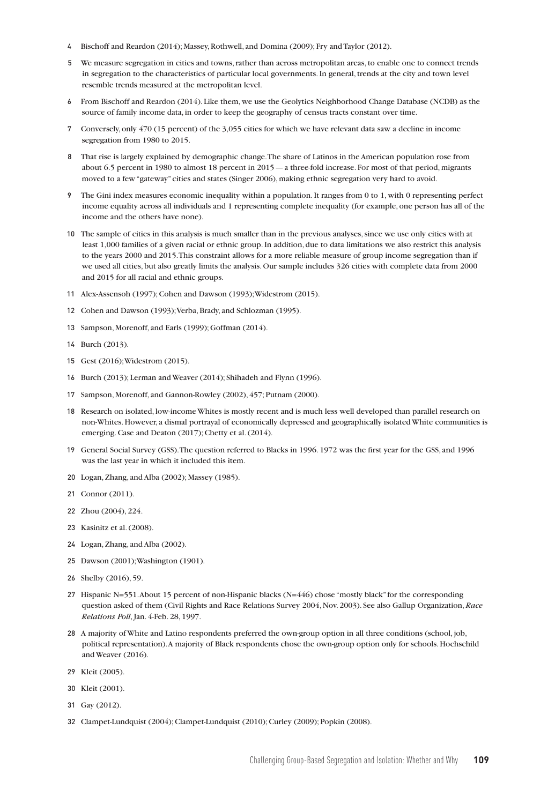- 4 Bischoff and Reardon (2014); Massey, Rothwell, and Domina (2009); Fry and Taylor (2012).
- 5 We measure segregation in cities and towns, rather than across metropolitan areas, to enable one to connect trends in segregation to the characteristics of particular local governments. In general, trends at the city and town level resemble trends measured at the metropolitan level.
- 6 From Bischoff and Reardon (2014). Like them, we use the Geolytics Neighborhood Change Database (NCDB) as the source of family income data, in order to keep the geography of census tracts constant over time.
- 7 Conversely, only 470 (15 percent) of the 3,055 cities for which we have relevant data saw a decline in income segregation from 1980 to 2015.
- 8 That rise is largely explained by demographic change. The share of Latinos in the American population rose from about 6.5 percent in 1980 to almost 18 percent in 2015—a three-fold increase. For most of that period, migrants moved to a few "gateway" cities and states (Singer 2006), making ethnic segregation very hard to avoid.
- 9 The Gini index measures economic inequality within a population. It ranges from 0 to 1, with 0 representing perfect income equality across all individuals and 1 representing complete inequality (for example, one person has all of the income and the others have none).
- 10 The sample of cities in this analysis is much smaller than in the previous analyses, since we use only cities with at least 1,000 families of a given racial or ethnic group. In addition, due to data limitations we also restrict this analysis to the years 2000 and 2015. This constraint allows for a more reliable measure of group income segregation than if we used all cities, but also greatly limits the analysis. Our sample includes 326 cities with complete data from 2000 and 2015 for all racial and ethnic groups.
- 11 Alex-Assensoh (1997); Cohen and Dawson (1993); Widestrom (2015).
- 12 Cohen and Dawson (1993); Verba, Brady, and Schlozman (1995).
- 13 Sampson, Morenoff, and Earls (1999); Goffman (2014).
- 14 Burch (2013).
- 15 Gest (2016); Widestrom (2015).
- 16 Burch (2013); Lerman and Weaver (2014); Shihadeh and Flynn (1996).
- 17 Sampson, Morenoff, and Gannon-Rowley (2002), 457; Putnam (2000).
- 18 Research on isolated, low-income Whites is mostly recent and is much less well developed than parallel research on non-Whites. However, a dismal portrayal of economically depressed and geographically isolated White communities is emerging. Case and Deaton (2017); Chetty et al. (2014).
- 19 General Social Survey (GSS). The question referred to Blacks in 1996. 1972 was the first year for the GSS, and 1996 was the last year in which it included this item.
- 20 Logan, Zhang, and Alba (2002); Massey (1985).
- 21 Connor (2011).
- 22 Zhou (2004), 224.
- 23 Kasinitz et al. (2008).
- 24 Logan, Zhang, and Alba (2002).
- 25 Dawson (2001); Washington (1901).
- 26 Shelby (2016), 59.
- 27 Hispanic N=551. About 15 percent of non-Hispanic blacks (N=446) chose "mostly black" for the corresponding question asked of them (Civil Rights and Race Relations Survey 2004, Nov. 2003). See also Gallup Organization, *Race Relations Poll*, Jan. 4-Feb. 28, 1997.
- 28 A majority of White and Latino respondents preferred the own-group option in all three conditions (school, job, political representation). A majority of Black respondents chose the own-group option only for schools. Hochschild and Weaver (2016).
- 29 Kleit (2005).
- 30 Kleit (2001).
- 31 Gay (2012).
- 32 Clampet-Lundquist (2004); Clampet-Lundquist (2010); Curley (2009); Popkin (2008).